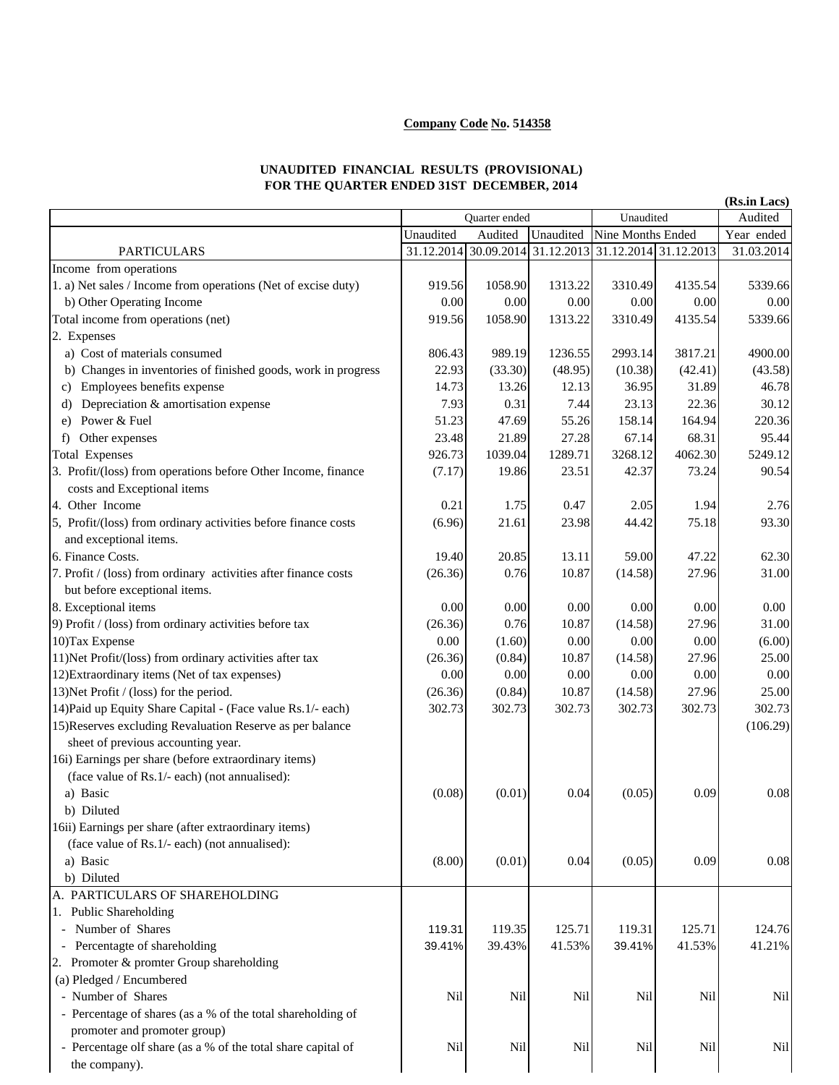## **Company Code No. 514358**

## **UNAUDITED FINANCIAL RESULTS (PROVISIONAL) FOR THE QUARTER ENDED 31ST DECEMBER, 2014**

| (Rs.in Lacs)                                                    |               |          |                                                        |                   |         |            |
|-----------------------------------------------------------------|---------------|----------|--------------------------------------------------------|-------------------|---------|------------|
|                                                                 | Quarter ended |          |                                                        | Unaudited         | Audited |            |
|                                                                 | Unaudited     | Audited  | Unaudited                                              | Nine Months Ended |         | Year ended |
| <b>PARTICULARS</b>                                              |               |          | 31.12.2014 30.09.2014 31.12.2013 31.12.2014 31.12.2013 |                   |         | 31.03.2014 |
| Income from operations                                          |               |          |                                                        |                   |         |            |
| 1. a) Net sales / Income from operations (Net of excise duty)   | 919.56        | 1058.90  | 1313.22                                                | 3310.49           | 4135.54 | 5339.66    |
| b) Other Operating Income                                       | 0.00          | 0.00     | 0.00                                                   | 0.00              | 0.00    | 0.00       |
| Total income from operations (net)                              | 919.56        | 1058.90  | 1313.22                                                | 3310.49           | 4135.54 | 5339.66    |
| 2. Expenses                                                     |               |          |                                                        |                   |         |            |
| a) Cost of materials consumed                                   | 806.43        | 989.19   | 1236.55                                                | 2993.14           | 3817.21 | 4900.00    |
| b) Changes in inventories of finished goods, work in progress   | 22.93         | (33.30)  | (48.95)                                                | (10.38)           | (42.41) | (43.58)    |
| Employees benefits expense<br>C)                                | 14.73         | 13.26    | 12.13                                                  | 36.95             | 31.89   | 46.78      |
| Depreciation & amortisation expense<br>d)                       | 7.93          | 0.31     | 7.44                                                   | 23.13             | 22.36   | 30.12      |
| Power & Fuel<br>e)                                              | 51.23         | 47.69    | 55.26                                                  | 158.14            | 164.94  | 220.36     |
| Other expenses<br>f                                             | 23.48         | 21.89    | 27.28                                                  | 67.14             | 68.31   | 95.44      |
| <b>Total Expenses</b>                                           | 926.73        | 1039.04  | 1289.71                                                | 3268.12           | 4062.30 | 5249.12    |
| 3. Profit/(loss) from operations before Other Income, finance   | (7.17)        | 19.86    | 23.51                                                  | 42.37             | 73.24   | 90.54      |
| costs and Exceptional items                                     |               |          |                                                        |                   |         |            |
| 4. Other Income                                                 | 0.21          | 1.75     | 0.47                                                   | 2.05              | 1.94    | 2.76       |
| 5, Profit/(loss) from ordinary activities before finance costs  | (6.96)        | 21.61    | 23.98                                                  | 44.42             | 75.18   | 93.30      |
| and exceptional items.                                          |               |          |                                                        |                   |         |            |
| 6. Finance Costs.                                               | 19.40         | 20.85    | 13.11                                                  | 59.00             | 47.22   | 62.30      |
| 7. Profit / (loss) from ordinary activities after finance costs | (26.36)       | 0.76     | 10.87                                                  | (14.58)           | 27.96   | 31.00      |
| but before exceptional items.                                   |               |          |                                                        |                   |         |            |
| 8. Exceptional items                                            | 0.00          | 0.00     | 0.00                                                   | $0.00\,$          | 0.00    | 0.00       |
| 9) Profit / (loss) from ordinary activities before tax          | (26.36)       | 0.76     | 10.87                                                  | (14.58)           | 27.96   | 31.00      |
| 10) Tax Expense                                                 | 0.00          | (1.60)   | 0.00                                                   | 0.00              | 0.00    | (6.00)     |
| 11) Net Profit/(loss) from ordinary activities after tax        | (26.36)       | (0.84)   | 10.87                                                  | (14.58)           | 27.96   | 25.00      |
| 12) Extraordinary items (Net of tax expenses)                   | 0.00          | $0.00\,$ | 0.00                                                   | 0.00              | 0.00    | 0.00       |
| 13) Net Profit / (loss) for the period.                         | (26.36)       | (0.84)   | 10.87                                                  | (14.58)           | 27.96   | 25.00      |
| 14) Paid up Equity Share Capital - (Face value Rs.1/- each)     | 302.73        | 302.73   | 302.73                                                 | 302.73            | 302.73  | 302.73     |
| 15) Reserves excluding Revaluation Reserve as per balance       |               |          |                                                        |                   |         | (106.29)   |
| sheet of previous accounting year.                              |               |          |                                                        |                   |         |            |
| 16i) Earnings per share (before extraordinary items)            |               |          |                                                        |                   |         |            |
| (face value of Rs.1/- each) (not annualised):                   |               |          |                                                        |                   |         |            |
| a) Basic                                                        | (0.08)        | (0.01)   | 0.04                                                   | (0.05)            | 0.09    | 0.08       |
| b) Diluted                                                      |               |          |                                                        |                   |         |            |
| 16ii) Earnings per share (after extraordinary items)            |               |          |                                                        |                   |         |            |
| (face value of Rs.1/- each) (not annualised):                   |               |          |                                                        |                   |         |            |
| a) Basic                                                        | (8.00)        | (0.01)   | 0.04                                                   | (0.05)            | 0.09    | 0.08       |
| b) Diluted                                                      |               |          |                                                        |                   |         |            |
| A. PARTICULARS OF SHAREHOLDING                                  |               |          |                                                        |                   |         |            |
| 1. Public Shareholding                                          |               |          |                                                        |                   |         |            |
| Number of Shares                                                | 119.31        | 119.35   | 125.71                                                 | 119.31            | 125.71  | 124.76     |
| Percentagte of shareholding                                     | 39.41%        | 39.43%   | 41.53%                                                 | 39.41%            | 41.53%  | 41.21%     |
| 2. Promoter & promter Group shareholding                        |               |          |                                                        |                   |         |            |
| (a) Pledged / Encumbered                                        |               |          |                                                        |                   |         |            |
| - Number of Shares                                              | Nil           | Nil      | Nil                                                    | Nil               | Nil     | Nil        |
| - Percentage of shares (as a % of the total shareholding of     |               |          |                                                        |                   |         |            |
| promoter and promoter group)                                    |               |          |                                                        |                   |         |            |
| - Percentage olf share (as a % of the total share capital of    | Nil           | Nil      | Nil                                                    | Nil               | Nil     | Nil        |
| the company).                                                   |               |          |                                                        |                   |         |            |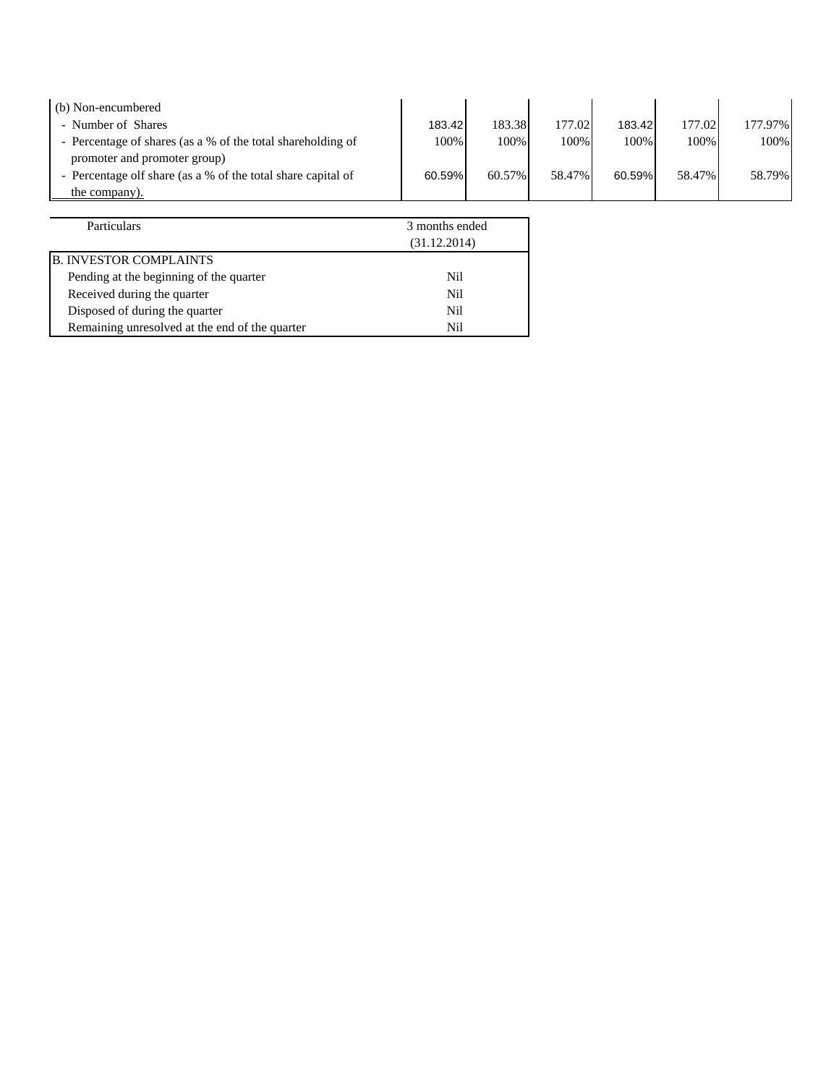| 183.42 | 183.38 |  |                          | 177.97%                                              |
|--------|--------|--|--------------------------|------------------------------------------------------|
| 100%   | 100%   |  |                          | 100%                                                 |
|        |        |  |                          |                                                      |
| 60.59% | 60.57% |  |                          | 58.79%                                               |
|        |        |  |                          |                                                      |
|        |        |  | 177.02<br>100%<br>58.47% | 177.02<br>183.42<br>100%<br>100%<br>58.47%<br>60.59% |

| Particulars                                    | 3 months ended |  |
|------------------------------------------------|----------------|--|
|                                                | (31.12.2014)   |  |
| <b>B. INVESTOR COMPLAINTS</b>                  |                |  |
| Pending at the beginning of the quarter        | Nil.           |  |
| Received during the quarter                    | Nil            |  |
| Disposed of during the quarter                 | Nil            |  |
| Remaining unresolved at the end of the quarter | Nil            |  |